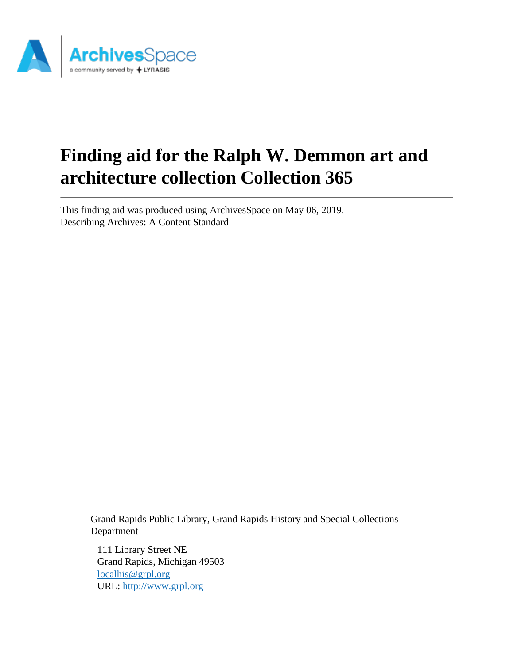

# **Finding aid for the Ralph W. Demmon art and architecture collection Collection 365**

This finding aid was produced using ArchivesSpace on May 06, 2019. Describing Archives: A Content Standard

> Grand Rapids Public Library, Grand Rapids History and Special Collections Department

111 Library Street NE Grand Rapids, Michigan 49503 [localhis@grpl.org](mailto:localhis@grpl.org) URL:<http://www.grpl.org>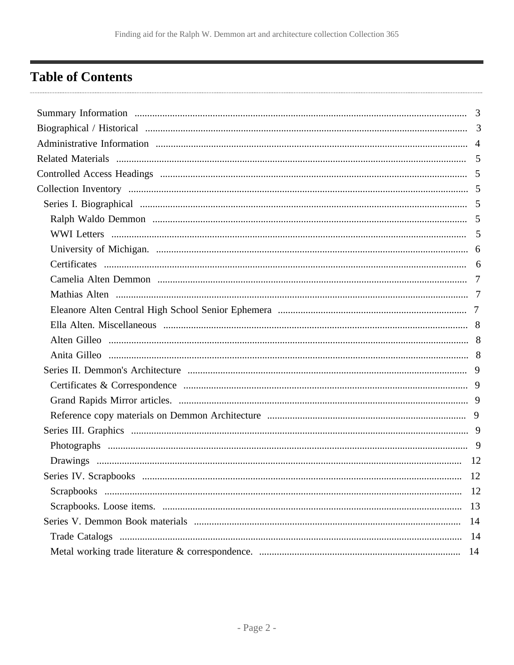# <span id="page-1-0"></span>**Table of Contents**

| -12 |
|-----|
|     |
| 13  |
| 14  |
| -14 |
| -14 |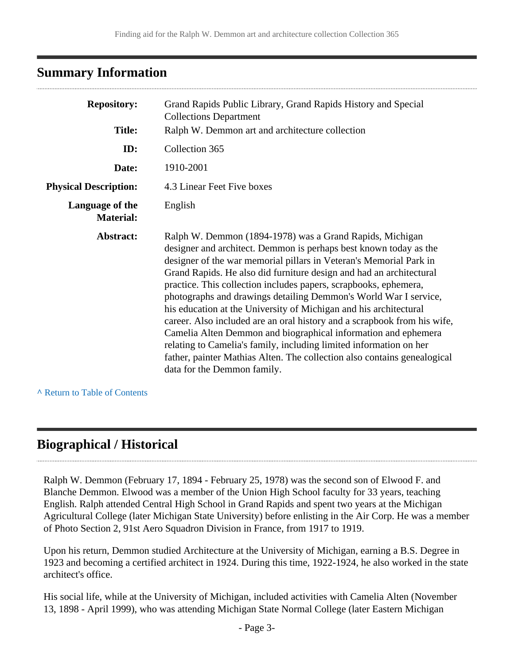# <span id="page-2-0"></span>**Summary Information**

| <b>Repository:</b><br><b>Title:</b> | Grand Rapids Public Library, Grand Rapids History and Special<br><b>Collections Department</b><br>Ralph W. Demmon art and architecture collection                                                                                                                                                                                                                                                                                                                                                                                                                                                                                                                                                                                                                                                                      |
|-------------------------------------|------------------------------------------------------------------------------------------------------------------------------------------------------------------------------------------------------------------------------------------------------------------------------------------------------------------------------------------------------------------------------------------------------------------------------------------------------------------------------------------------------------------------------------------------------------------------------------------------------------------------------------------------------------------------------------------------------------------------------------------------------------------------------------------------------------------------|
| ID:                                 | Collection 365                                                                                                                                                                                                                                                                                                                                                                                                                                                                                                                                                                                                                                                                                                                                                                                                         |
| Date:                               | 1910-2001                                                                                                                                                                                                                                                                                                                                                                                                                                                                                                                                                                                                                                                                                                                                                                                                              |
| <b>Physical Description:</b>        | 4.3 Linear Feet Five boxes                                                                                                                                                                                                                                                                                                                                                                                                                                                                                                                                                                                                                                                                                                                                                                                             |
| Language of the<br><b>Material:</b> | English                                                                                                                                                                                                                                                                                                                                                                                                                                                                                                                                                                                                                                                                                                                                                                                                                |
| Abstract:                           | Ralph W. Demmon (1894-1978) was a Grand Rapids, Michigan<br>designer and architect. Demmon is perhaps best known today as the<br>designer of the war memorial pillars in Veteran's Memorial Park in<br>Grand Rapids. He also did furniture design and had an architectural<br>practice. This collection includes papers, scrapbooks, ephemera,<br>photographs and drawings detailing Demmon's World War I service,<br>his education at the University of Michigan and his architectural<br>career. Also included are an oral history and a scrapbook from his wife,<br>Camelia Alten Demmon and biographical information and ephemera<br>relating to Camelia's family, including limited information on her<br>father, painter Mathias Alten. The collection also contains genealogical<br>data for the Demmon family. |

**^** [Return to Table of Contents](#page-1-0)

# <span id="page-2-1"></span>**Biographical / Historical**

Ralph W. Demmon (February 17, 1894 - February 25, 1978) was the second son of Elwood F. and Blanche Demmon. Elwood was a member of the Union High School faculty for 33 years, teaching English. Ralph attended Central High School in Grand Rapids and spent two years at the Michigan Agricultural College (later Michigan State University) before enlisting in the Air Corp. He was a member of Photo Section 2, 91st Aero Squadron Division in France, from 1917 to 1919.

Upon his return, Demmon studied Architecture at the University of Michigan, earning a B.S. Degree in 1923 and becoming a certified architect in 1924. During this time, 1922-1924, he also worked in the state architect's office.

His social life, while at the University of Michigan, included activities with Camelia Alten (November 13, 1898 - April 1999), who was attending Michigan State Normal College (later Eastern Michigan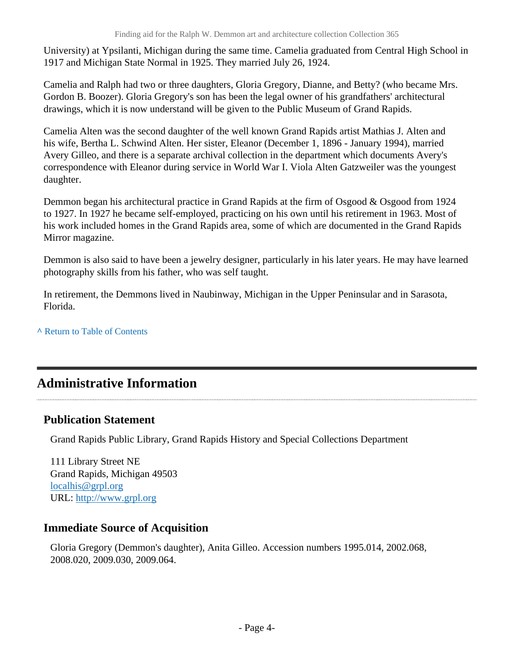University) at Ypsilanti, Michigan during the same time. Camelia graduated from Central High School in 1917 and Michigan State Normal in 1925. They married July 26, 1924.

Camelia and Ralph had two or three daughters, Gloria Gregory, Dianne, and Betty? (who became Mrs. Gordon B. Boozer). Gloria Gregory's son has been the legal owner of his grandfathers' architectural drawings, which it is now understand will be given to the Public Museum of Grand Rapids.

Camelia Alten was the second daughter of the well known Grand Rapids artist Mathias J. Alten and his wife, Bertha L. Schwind Alten. Her sister, Eleanor (December 1, 1896 - January 1994), married Avery Gilleo, and there is a separate archival collection in the department which documents Avery's correspondence with Eleanor during service in World War I. Viola Alten Gatzweiler was the youngest daughter.

Demmon began his architectural practice in Grand Rapids at the firm of Osgood & Osgood from 1924 to 1927. In 1927 he became self-employed, practicing on his own until his retirement in 1963. Most of his work included homes in the Grand Rapids area, some of which are documented in the Grand Rapids Mirror magazine.

Demmon is also said to have been a jewelry designer, particularly in his later years. He may have learned photography skills from his father, who was self taught.

In retirement, the Demmons lived in Naubinway, Michigan in the Upper Peninsular and in Sarasota, Florida.

**^** [Return to Table of Contents](#page-1-0)

# <span id="page-3-0"></span>**Administrative Information**

# **Publication Statement**

Grand Rapids Public Library, Grand Rapids History and Special Collections Department

111 Library Street NE Grand Rapids, Michigan 49503 [localhis@grpl.org](mailto:localhis@grpl.org) URL:<http://www.grpl.org>

### **Immediate Source of Acquisition**

Gloria Gregory (Demmon's daughter), Anita Gilleo. Accession numbers 1995.014, 2002.068, 2008.020, 2009.030, 2009.064.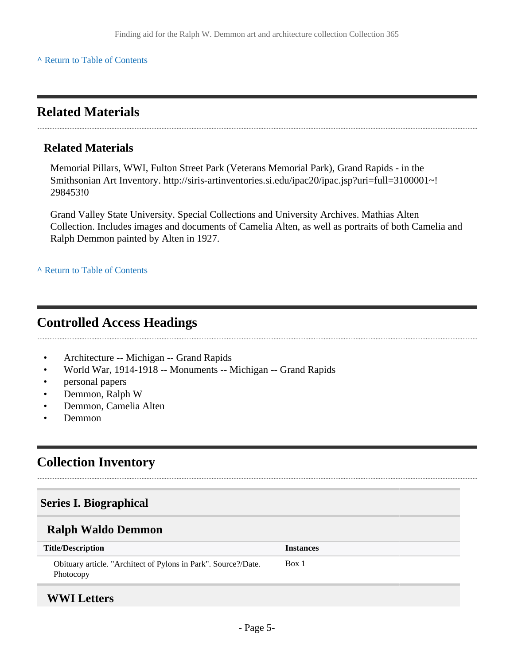#### **^** [Return to Table of Contents](#page-1-0)

# <span id="page-4-0"></span>**Related Materials**

#### **Related Materials**

Memorial Pillars, WWI, Fulton Street Park (Veterans Memorial Park), Grand Rapids - in the Smithsonian Art Inventory. http://siris-artinventories.si.edu/ipac20/ipac.jsp?uri=full=3100001~! 298453!0

Grand Valley State University. Special Collections and University Archives. Mathias Alten Collection. Includes images and documents of Camelia Alten, as well as portraits of both Camelia and Ralph Demmon painted by Alten in 1927.

**^** [Return to Table of Contents](#page-1-0)

# <span id="page-4-1"></span>**Controlled Access Headings**

- Architecture -- Michigan -- Grand Rapids
- World War, 1914-1918 -- Monuments -- Michigan -- Grand Rapids
- personal papers
- Demmon, Ralph W
- Demmon, Camelia Alten
- Demmon

# <span id="page-4-2"></span>**Collection Inventory**

#### <span id="page-4-3"></span>**Series I. Biographical**

#### <span id="page-4-4"></span>**Ralph Waldo Demmon**

| <b>Title/Description</b>                                                    | <b>Instances</b> |
|-----------------------------------------------------------------------------|------------------|
| Obituary article. "Architect of Pylons in Park". Source?/Date.<br>Photocopy | Box 1            |
|                                                                             |                  |

### <span id="page-4-5"></span>**WWI Letters**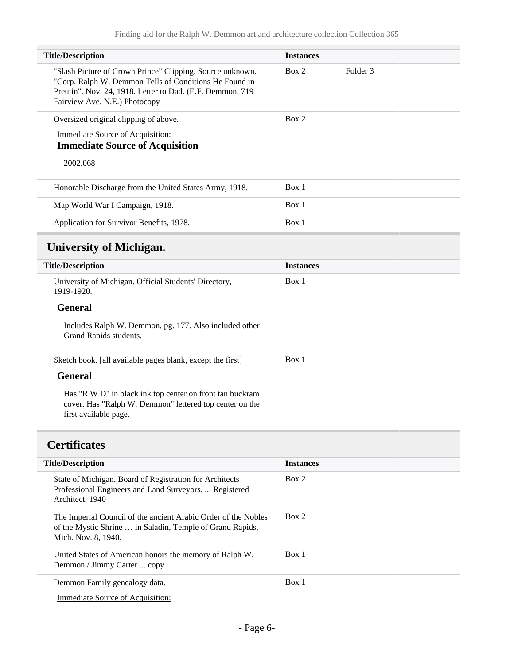<span id="page-5-0"></span>

| <b>Title/Description</b>                                                                                                                                                                                          | <b>Instances</b> |                     |  |
|-------------------------------------------------------------------------------------------------------------------------------------------------------------------------------------------------------------------|------------------|---------------------|--|
| "Slash Picture of Crown Prince" Clipping. Source unknown.<br>"Corp. Ralph W. Demmon Tells of Conditions He Found in<br>Preutin". Nov. 24, 1918. Letter to Dad. (E.F. Demmon, 719<br>Fairview Ave. N.E.) Photocopy | Box 2            | Folder <sub>3</sub> |  |
| Oversized original clipping of above.                                                                                                                                                                             | Box 2            |                     |  |
| <b>Immediate Source of Acquisition:</b><br><b>Immediate Source of Acquisition</b>                                                                                                                                 |                  |                     |  |
| 2002.068                                                                                                                                                                                                          |                  |                     |  |
| Honorable Discharge from the United States Army, 1918.                                                                                                                                                            | Box 1            |                     |  |
| Map World War I Campaign, 1918.                                                                                                                                                                                   | Box 1            |                     |  |
| Application for Survivor Benefits, 1978.                                                                                                                                                                          | Box 1            |                     |  |
| <b>University of Michigan.</b>                                                                                                                                                                                    |                  |                     |  |
| <b>Title/Description</b>                                                                                                                                                                                          | <b>Instances</b> |                     |  |
| University of Michigan. Official Students' Directory,<br>1919-1920.                                                                                                                                               | Box 1            |                     |  |
| <b>General</b>                                                                                                                                                                                                    |                  |                     |  |
| Includes Ralph W. Demmon, pg. 177. Also included other<br>Grand Rapids students.                                                                                                                                  |                  |                     |  |
| Sketch book. [all available pages blank, except the first]                                                                                                                                                        | Box 1            |                     |  |
| <b>General</b>                                                                                                                                                                                                    |                  |                     |  |
| Has "R W D" in black ink top center on front tan buckram<br>cover. Has "Ralph W. Demmon" lettered top center on the<br>first available page.                                                                      |                  |                     |  |
| <b>Certificates</b>                                                                                                                                                                                               |                  |                     |  |
| <b>Title/Description</b>                                                                                                                                                                                          | <b>Instances</b> |                     |  |
| State of Michigan. Board of Registration for Architects<br>Professional Engineers and Land Surveyors.  Registered<br>Architect, 1940                                                                              | Box 2            |                     |  |
| The Imperial Council of the ancient Arabic Order of the Nobles<br>of the Mystic Shrine  in Saladin, Temple of Grand Rapids,<br>Mich. Nov. 8, 1940.                                                                | Box 2            |                     |  |
| United States of American honors the memory of Ralph W.<br>Demmon / Jimmy Carter  copy                                                                                                                            | Box 1            |                     |  |
| Demmon Family genealogy data.                                                                                                                                                                                     | Box 1            |                     |  |

<span id="page-5-1"></span>Demmon Family genealogy data.

Immediate Source of Acquisition: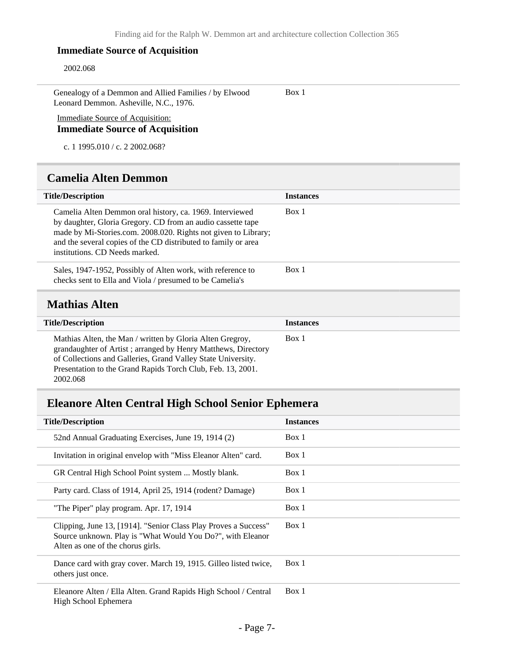#### **Immediate Source of Acquisition**

#### 2002.068

<span id="page-6-1"></span>2002.068

Genealogy of a Demmon and Allied Families / by Elwood Leonard Demmon. Asheville, N.C., 1976.

Box 1

Immediate Source of Acquisition: **Immediate Source of Acquisition**

c. 1 1995.010 / c. 2 2002.068?

### <span id="page-6-0"></span>**Camelia Alten Demmon**

| <b>Title/Description</b>                                                                                                                                                                                                                                                                      | <b>Instances</b> |
|-----------------------------------------------------------------------------------------------------------------------------------------------------------------------------------------------------------------------------------------------------------------------------------------------|------------------|
| Camelia Alten Demmon oral history, ca. 1969. Interviewed<br>by daughter, Gloria Gregory. CD from an audio cassette tape<br>made by Mi-Stories.com. 2008.020. Rights not given to Library;<br>and the several copies of the CD distributed to family or area<br>institutions. CD Needs marked. | Box 1            |
| Sales, 1947-1952, Possibly of Alten work, with reference to<br>checks sent to Ella and Viola / presumed to be Camelia's                                                                                                                                                                       | Box 1            |
| <b>Mathias Alten</b>                                                                                                                                                                                                                                                                          |                  |
| <b>Title/Description</b>                                                                                                                                                                                                                                                                      | <b>Instances</b> |
| Mathias Alten, the Man / written by Gloria Alten Gregroy,<br>grandaughter of Artist; arranged by Henry Matthews, Directory<br>of Collections and Galleries, Grand Valley State University.<br>Presentation to the Grand Rapids Torch Club, Feb. 13, 2001.                                     | Box 1            |

# <span id="page-6-2"></span>**Eleanore Alten Central High School Senior Ephemera**

| <b>Title/Description</b>                                                                                                                                           | <b>Instances</b> |
|--------------------------------------------------------------------------------------------------------------------------------------------------------------------|------------------|
| 52nd Annual Graduating Exercises, June 19, 1914 (2)                                                                                                                | Box 1            |
| Invitation in original envelop with "Miss Eleanor Alten" card.                                                                                                     | Box 1            |
| GR Central High School Point system  Mostly blank.                                                                                                                 | Box 1            |
| Party card. Class of 1914, April 25, 1914 (rodent? Damage)                                                                                                         | Box 1            |
| "The Piper" play program. Apr. 17, 1914                                                                                                                            | Box 1            |
| Clipping, June 13, [1914]. "Senior Class Play Proves a Success"<br>Source unknown. Play is "What Would You Do?", with Eleanor<br>Alten as one of the chorus girls. | Box 1            |
| Dance card with gray cover. March 19, 1915. Gilleo listed twice,<br>others just once.                                                                              | Box 1            |
| Eleanore Alten / Ella Alten. Grand Rapids High School / Central<br>High School Ephemera                                                                            | Box 1            |
|                                                                                                                                                                    |                  |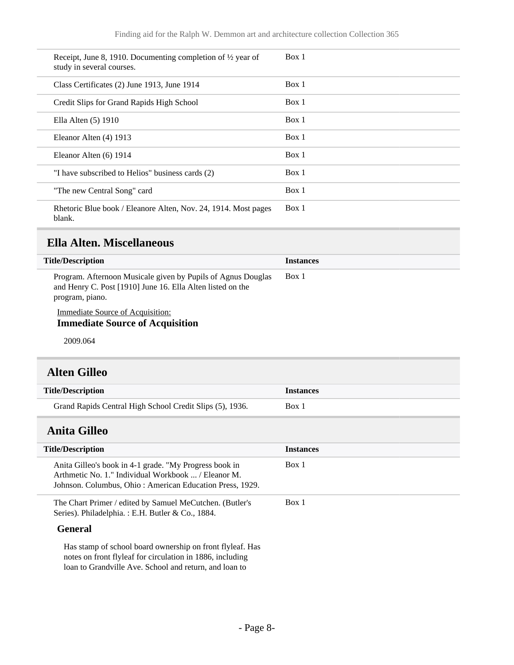| Receipt, June 8, 1910. Documenting completion of $\frac{1}{2}$ year of<br>study in several courses. | Box 1 |
|-----------------------------------------------------------------------------------------------------|-------|
| Class Certificates (2) June 1913, June 1914                                                         | Box 1 |
| Credit Slips for Grand Rapids High School                                                           | Box 1 |
| Ella Alten $(5)$ 1910                                                                               | Box 1 |
| Eleanor Alten (4) 1913                                                                              | Box 1 |
| Eleanor Alten (6) 1914                                                                              | Box 1 |
| "I have subscribed to Helios" business cards (2)                                                    | Box 1 |
| "The new Central Song" card                                                                         | Box 1 |
| Rhetoric Blue book / Eleanore Alten, Nov. 24, 1914. Most pages<br>blank.                            | Box 1 |

# <span id="page-7-0"></span>**Ella Alten. Miscellaneous**

| <b>Title/Description</b>                                                                                                                      | <b>Instances</b> |
|-----------------------------------------------------------------------------------------------------------------------------------------------|------------------|
| Program. Afternoon Musicale given by Pupils of Agnus Douglas<br>and Henry C. Post [1910] June 16. Ella Alten listed on the<br>program, piano. | Box 1            |
| Immediate Source of Acquisition:<br><b>Immediate Source of Acquisition</b>                                                                    |                  |

2009.064

# <span id="page-7-1"></span>**Alten Gilleo**

<span id="page-7-2"></span>

| <b>Title/Description</b>                                                                                                                                                  | <b>Instances</b> |
|---------------------------------------------------------------------------------------------------------------------------------------------------------------------------|------------------|
| Grand Rapids Central High School Credit Slips (5), 1936.                                                                                                                  | Box 1            |
| <b>Anita Gilleo</b>                                                                                                                                                       |                  |
| <b>Title/Description</b>                                                                                                                                                  | <b>Instances</b> |
| Anita Gilleo's book in 4-1 grade. "My Progress book in<br>Arthmetic No. 1." Individual Workbook  / Eleanor M.<br>Johnson. Columbus, Ohio: American Education Press, 1929. | Box 1            |
| The Chart Primer / edited by Samuel MeCutchen. (Butler's<br>Series). Philadelphia.: E.H. Butler & Co., 1884.                                                              | Box 1            |
| <b>General</b><br>He stemp of school board ournarchin on front flyloof Hes                                                                                                |                  |

Has stamp of school board ownership on front flyleaf. Has notes on front flyleaf for circulation in 1886, including loan to Grandville Ave. School and return, and loan to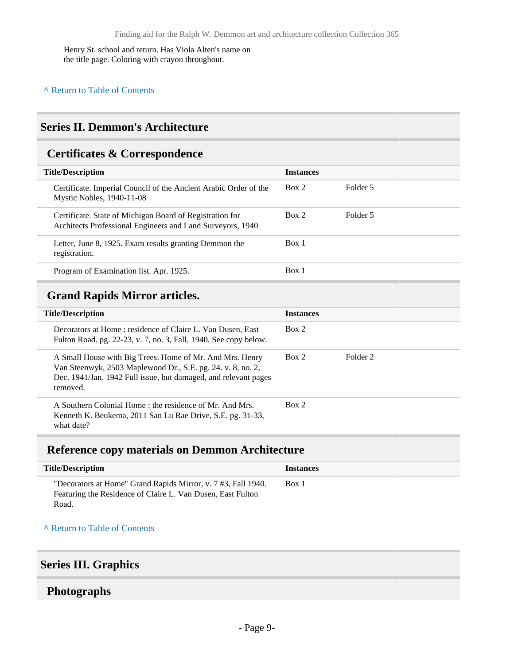Henry St. school and return. Has Viola Alten's name on the title page. Coloring with crayon throughout.

# <span id="page-8-0"></span>**Series II. Demmon's Architecture**

### <span id="page-8-1"></span>**Certificates & Correspondence**

| <b>Title/Description</b>                                                                                               | <b>Instances</b> |          |
|------------------------------------------------------------------------------------------------------------------------|------------------|----------|
| Certificate. Imperial Council of the Ancient Arabic Order of the<br>Mystic Nobles, 1940-11-08                          | Box 2            | Folder 5 |
| Certificate. State of Michigan Board of Registration for<br>Architects Professional Engineers and Land Surveyors, 1940 | Box 2            | Folder 5 |
| Letter, June 8, 1925. Exam results granting Demmon the<br>registration.                                                | Box 1            |          |
| Program of Examination list. Apr. 1925.                                                                                | Box 1            |          |

# <span id="page-8-2"></span>**Grand Rapids Mirror articles.**

| <b>Title/Description</b>                                                                                                                                                                               | <b>Instances</b> |          |
|--------------------------------------------------------------------------------------------------------------------------------------------------------------------------------------------------------|------------------|----------|
| Decorators at Home: residence of Claire L. Van Dusen, East<br>Fulton Road. pg. 22-23, v. 7, no. 3, Fall, 1940. See copy below.                                                                         | Box 2            |          |
| A Small House with Big Trees. Home of Mr. And Mrs. Henry<br>Van Steenwyk, 2503 Maplewood Dr., S.E. pg. 24. v. 8, no. 2,<br>Dec. 1941/Jan. 1942 Full issue, but damaged, and relevant pages<br>removed. | Box 2            | Folder 2 |
| A Southern Colonial Home: the residence of Mr. And Mrs.<br>Kenneth K. Beukema, 2011 San Lu Rae Drive, S.E. pg. 31-33,<br>what date?                                                                    | Box 2            |          |

# <span id="page-8-3"></span>**Reference copy materials on Demmon Architecture**

| <b>Title/Description</b>                                                                                                              | <b>Instances</b> |
|---------------------------------------------------------------------------------------------------------------------------------------|------------------|
| "Decorators at Home" Grand Rapids Mirror, v. 7 #3, Fall 1940.<br>Featuring the Residence of Claire L. Van Dusen, East Fulton<br>Road. | Box 1            |

**^** [Return to Table of Contents](#page-1-0)

### <span id="page-8-4"></span>**Series III. Graphics**

### <span id="page-8-5"></span>**Photographs**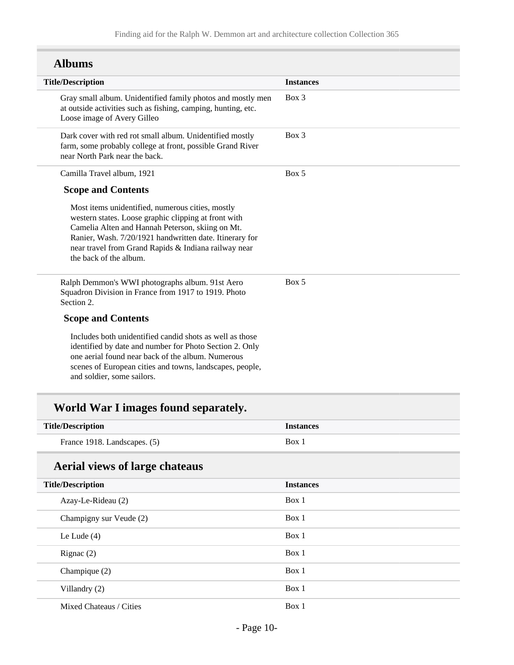# **Albums**

| <b>Title/Description</b>                                                                                                                                                                                                                                                                                  | <b>Instances</b> |
|-----------------------------------------------------------------------------------------------------------------------------------------------------------------------------------------------------------------------------------------------------------------------------------------------------------|------------------|
| Gray small album. Unidentified family photos and mostly men<br>at outside activities such as fishing, camping, hunting, etc.<br>Loose image of Avery Gilleo                                                                                                                                               | $Box$ 3          |
| Dark cover with red rot small album. Unidentified mostly<br>farm, some probably college at front, possible Grand River<br>near North Park near the back.                                                                                                                                                  | $Box$ 3          |
| Camilla Travel album, 1921                                                                                                                                                                                                                                                                                | Box 5            |
| <b>Scope and Contents</b>                                                                                                                                                                                                                                                                                 |                  |
| Most items unidentified, numerous cities, mostly<br>western states. Loose graphic clipping at front with<br>Camelia Alten and Hannah Peterson, skiing on Mt.<br>Ranier, Wash. 7/20/1921 handwritten date. Itinerary for<br>near travel from Grand Rapids & Indiana railway near<br>the back of the album. |                  |
| Ralph Demmon's WWI photographs album. 91st Aero<br>Squadron Division in France from 1917 to 1919. Photo<br>Section 2.                                                                                                                                                                                     | Box 5            |
| <b>Scope and Contents</b>                                                                                                                                                                                                                                                                                 |                  |
| Includes both unidentified candid shots as well as those<br>identified by date and number for Photo Section 2. Only<br>one aerial found near back of the album. Numerous<br>scenes of European cities and towns, landscapes, people,<br>and soldier, some sailors.                                        |                  |
| World War I images found separately.                                                                                                                                                                                                                                                                      |                  |
| <b>Title/Description</b>                                                                                                                                                                                                                                                                                  | <b>Instances</b> |
| France 1918. Landscapes. (5)                                                                                                                                                                                                                                                                              | Box 1            |
| <b>Aerial views of large chateaus</b>                                                                                                                                                                                                                                                                     |                  |

| <b>Title/Description</b> | <b>Instances</b> |
|--------------------------|------------------|
| Azay-Le-Rideau (2)       | Box 1            |
| Champigny sur Veude (2)  | Box 1            |
| Le Lude $(4)$            | Box 1            |
| Rignac $(2)$             | Box 1            |
| Champique $(2)$          | Box 1            |
| Villandry (2)            | Box 1            |
| Mixed Chateaus / Cities  | Box 1            |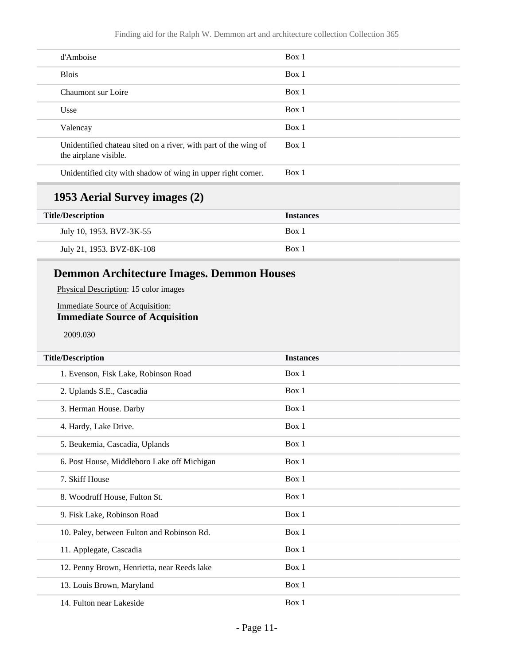| d'Amboise                                                                                | Box 1 |
|------------------------------------------------------------------------------------------|-------|
| <b>Blois</b>                                                                             | Box 1 |
| Chaumont sur Loire                                                                       | Box 1 |
| Usse                                                                                     | Box 1 |
| Valencay                                                                                 | Box 1 |
| Unidentified chateau sited on a river, with part of the wing of<br>the airplane visible. | Box 1 |
| Unidentified city with shadow of wing in upper right corner.                             | Box 1 |

### **1953 Aerial Survey images (2)**

| <b>Title/Description</b>  | <b>Instances</b> |
|---------------------------|------------------|
| July 10, 1953. BVZ-3K-55  | Box 1            |
| July 21, 1953. BVZ-8K-108 | Box 1            |

# **Demmon Architecture Images. Demmon Houses**

Physical Description: 15 color images

#### Immediate Source of Acquisition: **Immediate Source of Acquisition**

2009.030

| <b>Title/Description</b>                    | <b>Instances</b> |  |
|---------------------------------------------|------------------|--|
| 1. Evenson, Fisk Lake, Robinson Road        | Box 1            |  |
| 2. Uplands S.E., Cascadia                   | Box 1            |  |
| 3. Herman House. Darby                      | Box 1            |  |
| 4. Hardy, Lake Drive.                       | Box 1            |  |
| 5. Beukemia, Cascadia, Uplands              | Box 1            |  |
| 6. Post House, Middleboro Lake off Michigan | Box 1            |  |
| 7. Skiff House                              | Box 1            |  |
| 8. Woodruff House, Fulton St.               | Box 1            |  |
| 9. Fisk Lake, Robinson Road                 | Box 1            |  |
| 10. Paley, between Fulton and Robinson Rd.  | Box 1            |  |
| 11. Applegate, Cascadia                     | Box 1            |  |
| 12. Penny Brown, Henrietta, near Reeds lake | Box 1            |  |
| 13. Louis Brown, Maryland                   | Box 1            |  |
| 14. Fulton near Lakeside                    | Box 1            |  |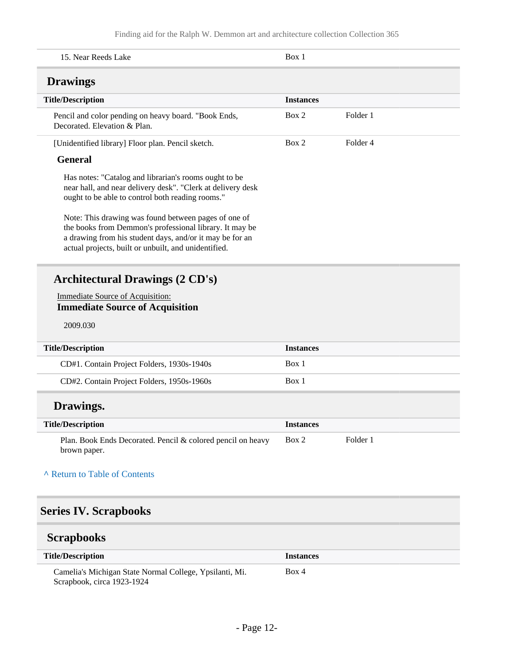<span id="page-11-2"></span><span id="page-11-1"></span><span id="page-11-0"></span>

| 15. Near Reeds Lake                                                                                                                                                                                                                 | Box 1            |          |
|-------------------------------------------------------------------------------------------------------------------------------------------------------------------------------------------------------------------------------------|------------------|----------|
| <b>Drawings</b>                                                                                                                                                                                                                     |                  |          |
| <b>Title/Description</b>                                                                                                                                                                                                            | <b>Instances</b> |          |
| Pencil and color pending on heavy board. "Book Ends,<br>Decorated. Elevation & Plan.                                                                                                                                                | Box 2            | Folder 1 |
| [Unidentified library] Floor plan. Pencil sketch.                                                                                                                                                                                   | Box 2            | Folder 4 |
| <b>General</b>                                                                                                                                                                                                                      |                  |          |
| Has notes: "Catalog and librarian's rooms ought to be<br>near hall, and near delivery desk". "Clerk at delivery desk<br>ought to be able to control both reading rooms."                                                            |                  |          |
| Note: This drawing was found between pages of one of<br>the books from Demmon's professional library. It may be<br>a drawing from his student days, and/or it may be for an<br>actual projects, built or unbuilt, and unidentified. |                  |          |
| <b>Architectural Drawings (2 CD's)</b>                                                                                                                                                                                              |                  |          |
| <b>Immediate Source of Acquisition:</b><br><b>Immediate Source of Acquisition</b>                                                                                                                                                   |                  |          |
|                                                                                                                                                                                                                                     |                  |          |
| 2009.030                                                                                                                                                                                                                            |                  |          |
| <b>Title/Description</b>                                                                                                                                                                                                            | <b>Instances</b> |          |
| CD#1. Contain Project Folders, 1930s-1940s                                                                                                                                                                                          | Box 1            |          |
| CD#2. Contain Project Folders, 1950s-1960s                                                                                                                                                                                          | Box 1            |          |
| Drawings.                                                                                                                                                                                                                           |                  |          |
| <b>Title/Description</b>                                                                                                                                                                                                            | <b>Instances</b> |          |
| Plan. Book Ends Decorated. Pencil & colored pencil on heavy<br>brown paper.                                                                                                                                                         | Box 2            | Folder 1 |
| A Return to Table of Contents                                                                                                                                                                                                       |                  |          |
| <b>Series IV. Scrapbooks</b>                                                                                                                                                                                                        |                  |          |
| <b>Scrapbooks</b>                                                                                                                                                                                                                   |                  |          |
| <b>Title/Description</b>                                                                                                                                                                                                            | <b>Instances</b> |          |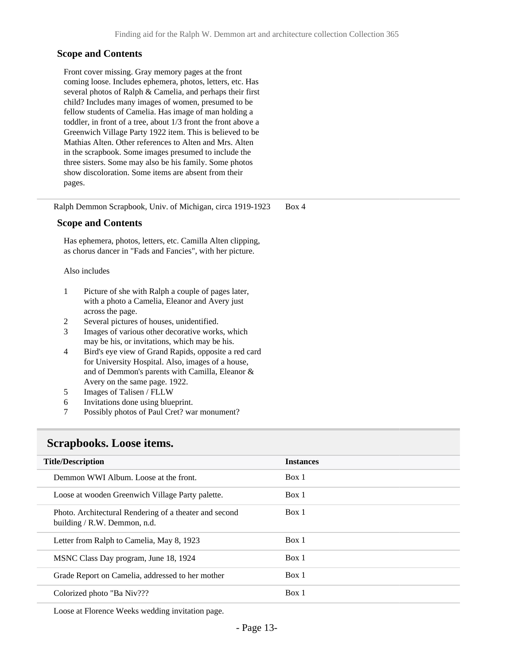#### **Scope and Contents**

Front cover missing. Gray memory pages at the front coming loose. Includes ephemera, photos, letters, etc. Has several photos of Ralph & Camelia, and perhaps their first child? Includes many images of women, presumed to be fellow students of Camelia. Has image of man holding a toddler, in front of a tree, about 1/3 front the front above a Greenwich Village Party 1922 item. This is believed to be Mathias Alten. Other references to Alten and Mrs. Alten in the scrapbook. Some images presumed to include the three sisters. Some may also be his family. Some photos show discoloration. Some items are absent from their pages.

Ralph Demmon Scrapbook, Univ. of Michigan, circa 1919-1923 Box 4

#### **Scope and Contents**

Has ephemera, photos, letters, etc. Camilla Alten clipping, as chorus dancer in "Fads and Fancies", with her picture.

#### Also includes

- 1 Picture of she with Ralph a couple of pages later, with a photo a Camelia, Eleanor and Avery just across the page.
- 2 Several pictures of houses, unidentified.
- 3 Images of various other decorative works, which may be his, or invitations, which may be his.
- 4 Bird's eye view of Grand Rapids, opposite a red card for University Hospital. Also, images of a house, and of Demmon's parents with Camilla, Eleanor & Avery on the same page. 1922.
- 5 Images of Talisen / FLLW
- 6 Invitations done using blueprint.
- 7 Possibly photos of Paul Cret? war monument?

#### <span id="page-12-0"></span>**Scrapbooks. Loose items.**

| <b>Title/Description</b>                                                               | <b>Instances</b> |
|----------------------------------------------------------------------------------------|------------------|
| Demmon WWI Album. Loose at the front.                                                  | Box 1            |
| Loose at wooden Greenwich Village Party palette.                                       | Box 1            |
| Photo. Architectural Rendering of a theater and second<br>building / R.W. Demmon, n.d. | Box 1            |
| Letter from Ralph to Camelia, May 8, 1923                                              | Box 1            |
| MSNC Class Day program, June 18, 1924                                                  | Box 1            |
| Grade Report on Camelia, addressed to her mother                                       | Box 1            |
| Colorized photo "Ba Niv???                                                             | Box 1            |

Loose at Florence Weeks wedding invitation page.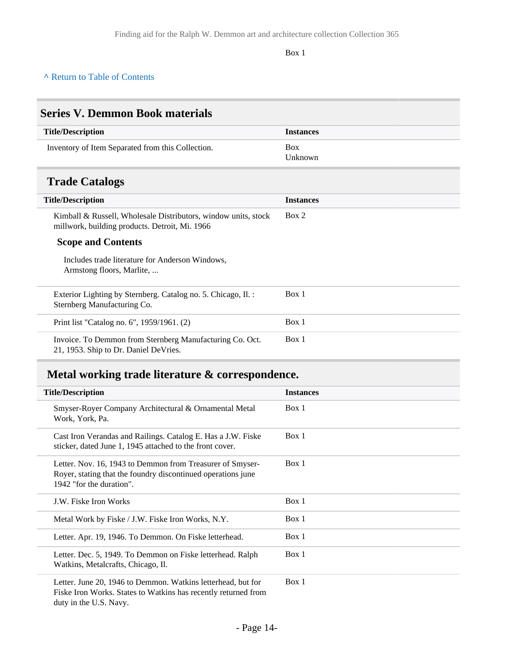Box 1

#### **^** [Return to Table of Contents](#page-1-0)

# <span id="page-13-1"></span><span id="page-13-0"></span>**Series V. Demmon Book materials Title/Description Instances** Inventory of Item Separated from this Collection. Box Unknown **Trade Catalogs Title/Description Instances** Kimball & Russell, Wholesale Distributors, window units, stock millwork, building products. Detroit, Mi. 1966 **Scope and Contents** Includes trade literature for Anderson Windows, Armstong floors, Marlite, ... Box 2 Exterior Lighting by Sternberg. Catalog no. 5. Chicago, Il. : Sternberg Manufacturing Co. Box 1 Print list "Catalog no. 6", 1959/1961. (2) Box 1 Invoice. To Demmon from Sternberg Manufacturing Co. Oct. 21, 1953. Ship to Dr. Daniel DeVries. Box 1 **Metal working trade literature & correspondence. Title/Description Instances** Smyser-Royer Company Architectural & Ornamental Metal Work, York, P. Box 1

<span id="page-13-2"></span>

| work, York, Pa.                                                                                                                                          |       |
|----------------------------------------------------------------------------------------------------------------------------------------------------------|-------|
| Cast Iron Verandas and Railings. Catalog E. Has a J.W. Fiske<br>sticker, dated June 1, 1945 attached to the front cover.                                 | Box 1 |
| Letter. Nov. 16, 1943 to Demmon from Treasurer of Smyser-<br>Royer, stating that the foundry discontinued operations june<br>1942 "for the duration".    | Box 1 |
| J.W. Fiske Iron Works                                                                                                                                    | Box 1 |
| Metal Work by Fiske / J.W. Fiske Iron Works, N.Y.                                                                                                        | Box 1 |
| Letter. Apr. 19, 1946. To Demmon. On Fiske letterhead.                                                                                                   | Box 1 |
| Letter. Dec. 5, 1949. To Demmon on Fiske letterhead. Ralph<br>Watkins, Metalcrafts, Chicago, Il.                                                         | Box 1 |
| Letter. June 20, 1946 to Demmon. Watkins letterhead, but for<br>Fiske Iron Works. States to Watkins has recently returned from<br>duty in the U.S. Navy. | Box 1 |